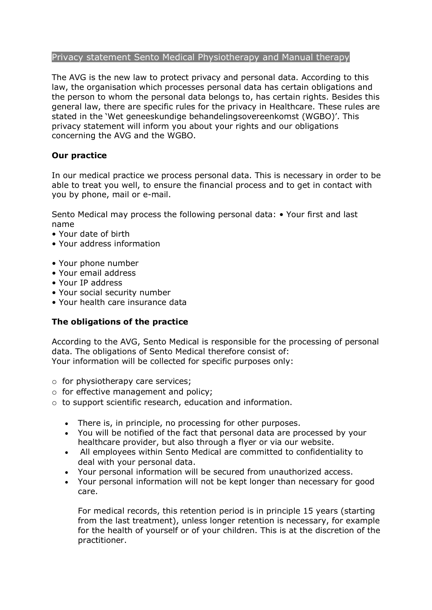## Privacy statement Sento Medical Physiotherapy and Manual therapy

The AVG is the new law to protect privacy and personal data. According to this law, the organisation which processes personal data has certain obligations and the person to whom the personal data belongs to, has certain rights. Besides this general law, there are specific rules for the privacy in Healthcare. These rules are stated in the 'Wet geneeskundige behandelingsovereenkomst (WGBO)'. This privacy statement will inform you about your rights and our obligations concerning the AVG and the WGBO.

# **Our practice**

In our medical practice we process personal data. This is necessary in order to be able to treat you well, to ensure the financial process and to get in contact with you by phone, mail or e-mail.

Sento Medical may process the following personal data: • Your first and last name

- Your date of birth
- Your address information
- Your phone number
- Your email address
- Your IP address
- Your social security number
- Your health care insurance data

## **The obligations of the practice**

According to the AVG, Sento Medical is responsible for the processing of personal data. The obligations of Sento Medical therefore consist of: Your information will be collected for specific purposes only:

- o for physiotherapy care services;
- o for effective management and policy;
- o to support scientific research, education and information.
	- There is, in principle, no processing for other purposes.
	- You will be notified of the fact that personal data are processed by your healthcare provider, but also through a flyer or via our website.
	- All employees within Sento Medical are committed to confidentiality to deal with your personal data.
	- Your personal information will be secured from unauthorized access.
	- Your personal information will not be kept longer than necessary for good care.

For medical records, this retention period is in principle 15 years (starting from the last treatment), unless longer retention is necessary, for example for the health of yourself or of your children. This is at the discretion of the practitioner.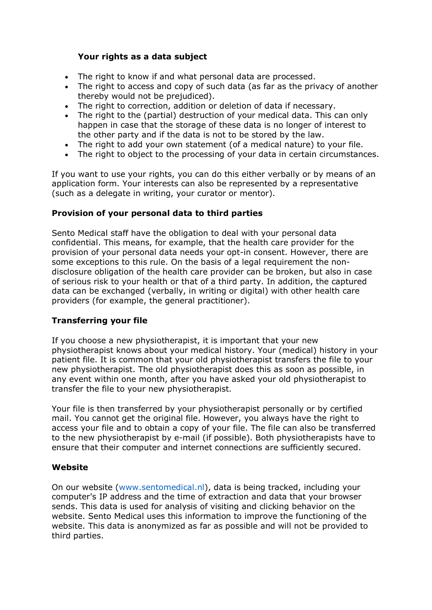# **Your rights as a data subject**

- The right to know if and what personal data are processed.
- The right to access and copy of such data (as far as the privacy of another thereby would not be prejudiced).
- The right to correction, addition or deletion of data if necessary.
- The right to the (partial) destruction of your medical data. This can only happen in case that the storage of these data is no longer of interest to the other party and if the data is not to be stored by the law.
- The right to add your own statement (of a medical nature) to your file.
- The right to object to the processing of your data in certain circumstances.

If you want to use your rights, you can do this either verbally or by means of an application form. Your interests can also be represented by a representative (such as a delegate in writing, your curator or mentor).

## **Provision of your personal data to third parties**

Sento Medical staff have the obligation to deal with your personal data confidential. This means, for example, that the health care provider for the provision of your personal data needs your opt-in consent. However, there are some exceptions to this rule. On the basis of a legal requirement the nondisclosure obligation of the health care provider can be broken, but also in case of serious risk to your health or that of a third party. In addition, the captured data can be exchanged (verbally, in writing or digital) with other health care providers (for example, the general practitioner).

## **Transferring your file**

If you choose a new physiotherapist, it is important that your new physiotherapist knows about your medical history. Your (medical) history in your patient file. It is common that your old physiotherapist transfers the file to your new physiotherapist. The old physiotherapist does this as soon as possible, in any event within one month, after you have asked your old physiotherapist to transfer the file to your new physiotherapist.

Your file is then transferred by your physiotherapist personally or by certified mail. You cannot get the original file. However, you always have the right to access your file and to obtain a copy of your file. The file can also be transferred to the new physiotherapist by e-mail (if possible). Both physiotherapists have to ensure that their computer and internet connections are sufficiently secured.

#### **Website**

On our website (www.sentomedical.nl), data is being tracked, including your computer's IP address and the time of extraction and data that your browser sends. This data is used for analysis of visiting and clicking behavior on the website. Sento Medical uses this information to improve the functioning of the website. This data is anonymized as far as possible and will not be provided to third parties.